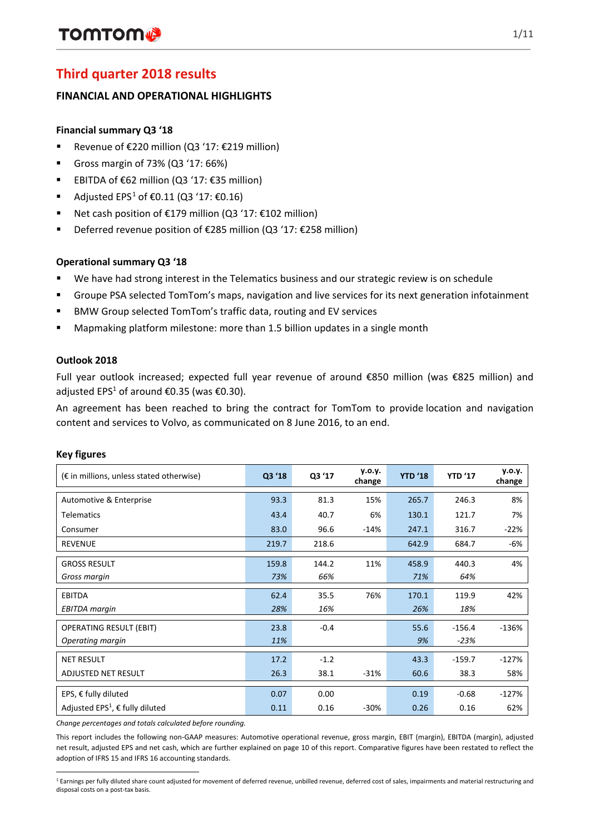# **Third quarter 2018 results**

## **FINANCIAL AND OPERATIONAL HIGHLIGHTS**

## **Financial summary Q3 '18**

- Revenue of  $E$ 220 million (Q3 '17:  $E$ 219 million)
- Gross margin of 73% (Q3 '17: 66%)
- **EBITDA of €62 million (Q3 '17: €35 million)**
- Adjusted EPS<sup>[1](#page-0-0)</sup> of  $€0.11$  (Q3 '17:  $€0.16$ )
- Net cash position of  $£179$  million (Q3 '17:  $£102$  million)
- Deferred revenue position of €285 million (Q3 '17: €258 million)

## **Operational summary Q3 '18**

- We have had strong interest in the Telematics business and our strategic review is on schedule
- Groupe PSA selected TomTom's maps, navigation and live services for its next generation infotainment
- BMW Group selected TomTom's traffic data, routing and EV services
- Mapmaking platform milestone: more than 1.5 billion updates in a single month

### **Outlook 2018**

Full year outlook increased; expected full year revenue of around €850 million (was €825 million) and adjusted EPS<sup>1</sup> of around €0.35 (was €0.30).

An agreement has been reached to bring the contract for TomTom to provide location and navigation content and services to Volvo, as communicated on 8 June 2016, to an end.

| $(\epsilon$ in millions, unless stated otherwise)                     | Q3 '18       | Q3 '17         | y.o.y.<br>change | <b>YTD '18</b> | <b>YTD '17</b>     | y.o.y.<br>change |
|-----------------------------------------------------------------------|--------------|----------------|------------------|----------------|--------------------|------------------|
| Automotive & Enterprise                                               | 93.3         | 81.3           | 15%              | 265.7          | 246.3              | 8%               |
| <b>Telematics</b>                                                     | 43.4         | 40.7           | 6%               | 130.1          | 121.7              | 7%               |
| Consumer                                                              | 83.0         | 96.6           | $-14%$           | 247.1          | 316.7              | $-22%$           |
| <b>REVENUE</b>                                                        | 219.7        | 218.6          |                  | 642.9          | 684.7              | -6%              |
| <b>GROSS RESULT</b><br>Gross margin                                   | 159.8<br>73% | 144.2<br>66%   | 11%              | 458.9<br>71%   | 440.3<br>64%       | 4%               |
| <b>EBITDA</b><br><b>EBITDA</b> margin                                 | 62.4<br>28%  | 35.5<br>16%    | 76%              | 170.1<br>26%   | 119.9<br>18%       | 42%              |
| <b>OPERATING RESULT (EBIT)</b><br>Operating margin                    | 23.8<br>11%  | $-0.4$         |                  | 55.6<br>9%     | $-156.4$<br>$-23%$ | $-136%$          |
| <b>NET RESULT</b><br>ADJUSTED NET RESULT                              | 17.2<br>26.3 | $-1.2$<br>38.1 | $-31%$           | 43.3<br>60.6   | $-159.7$<br>38.3   | $-127%$<br>58%   |
| EPS, $€$ fully diluted<br>Adjusted EPS <sup>1</sup> , € fully diluted | 0.07<br>0.11 | 0.00<br>0.16   | $-30%$           | 0.19<br>0.26   | $-0.68$<br>0.16    | $-127%$<br>62%   |

## **Key figures**

*Change percentages and totals calculated before rounding.*

This report includes the following non-GAAP measures: Automotive operational revenue, gross margin, EBIT (margin), EBITDA (margin), adjusted net result, adjusted EPS and net cash, which are further explained on page 10 of this report. Comparative figures have been restated to reflect the adoption of IFRS 15 and IFRS 16 accounting standards.

<span id="page-0-0"></span>l <sup>1</sup> Earnings per fully diluted share count adjusted for movement of deferred revenue, unbilled revenue, deferred cost of sales, impairments and material restructuring and disposal costs on a post-tax basis.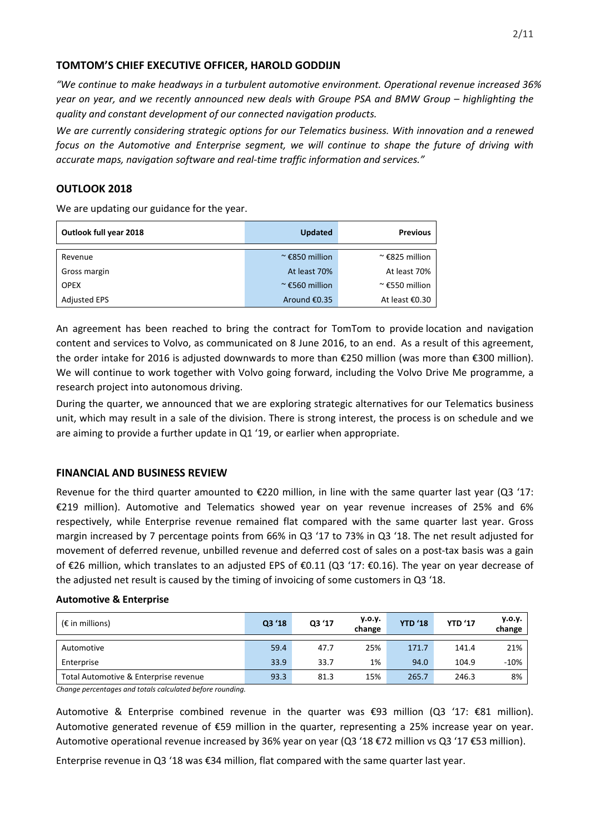## **TOMTOM'S CHIEF EXECUTIVE OFFICER, HAROLD GODDIJN**

*"We continue to make headways in a turbulent automotive environment. Operational revenue increased 36% year on year, and we recently announced new deals with Groupe PSA and BMW Group – highlighting the quality and constant development of our connected navigation products.* 

*We are currently considering strategic options for our Telematics business. With innovation and a renewed focus on the Automotive and Enterprise segment, we will continue to shape the future of driving with accurate maps, navigation software and real-time traffic information and services."*

## **OUTLOOK 2018**

We are updating our guidance for the year.

| Outlook full year 2018 | <b>Updated</b>         | <b>Previous</b>        |
|------------------------|------------------------|------------------------|
| Revenue                | $\approx$ £850 million | $\approx$ £825 million |
| Gross margin           | At least 70%           | At least 70%           |
| <b>OPEX</b>            | $\approx$ £560 million | $\approx$ £550 million |
| <b>Adjusted EPS</b>    | Around €0.35           | At least €0.30         |

An agreement has been reached to bring the contract for TomTom to provide location and navigation content and services to Volvo, as communicated on 8 June 2016, to an end.  As a result of this agreement, the order intake for 2016 is adjusted downwards to more than €250 million (was more than €300 million). We will continue to work together with Volvo going forward, including the Volvo Drive Me programme, a research project into autonomous driving.

During the quarter, we announced that we are exploring strategic alternatives for our Telematics business unit, which may result in a sale of the division. There is strong interest, the process is on schedule and we are aiming to provide a further update in Q1 '19, or earlier when appropriate.

## **FINANCIAL AND BUSINESS REVIEW**

Revenue for the third quarter amounted to €220 million, in line with the same quarter last year (Q3 '17: €219 million). Automotive and Telematics showed year on year revenue increases of 25% and 6% respectively, while Enterprise revenue remained flat compared with the same quarter last year. Gross margin increased by 7 percentage points from 66% in Q3 '17 to 73% in Q3 '18. The net result adjusted for movement of deferred revenue, unbilled revenue and deferred cost of sales on a post-tax basis was a gain of €26 million, which translates to an adjusted EPS of €0.11 (Q3 '17: €0.16). The year on year decrease of the adjusted net result is caused by the timing of invoicing of some customers in Q3 '18.

### **Automotive & Enterprise**

| $(\epsilon$ in millions)              | Q3 '18 | Q3 '17 | y.o.y.<br>change | <b>YTD '18</b> | <b>YTD '17</b> | y.o.y.<br>change |
|---------------------------------------|--------|--------|------------------|----------------|----------------|------------------|
| Automotive                            | 59.4   | 47.7   | 25%              | 171.7          | 141.4          | 21%              |
| Enterprise                            | 33.9   | 33.7   | 1%               | 94.0           | 104.9          | $-10%$           |
| Total Automotive & Enterprise revenue | 93.3   | 81.3   | 15%              | 265.7          | 246.3          | 8%               |

*Change percentages and totals calculated before rounding.*

Automotive & Enterprise combined revenue in the quarter was €93 million (Q3 '17: €81 million). Automotive generated revenue of €59 million in the quarter, representing a 25% increase year on year. Automotive operational revenue increased by 36% year on year (Q3 '18 €72 million vs Q3 '17 €53 million).

Enterprise revenue in Q3 '18 was €34 million, flat compared with the same quarter last year.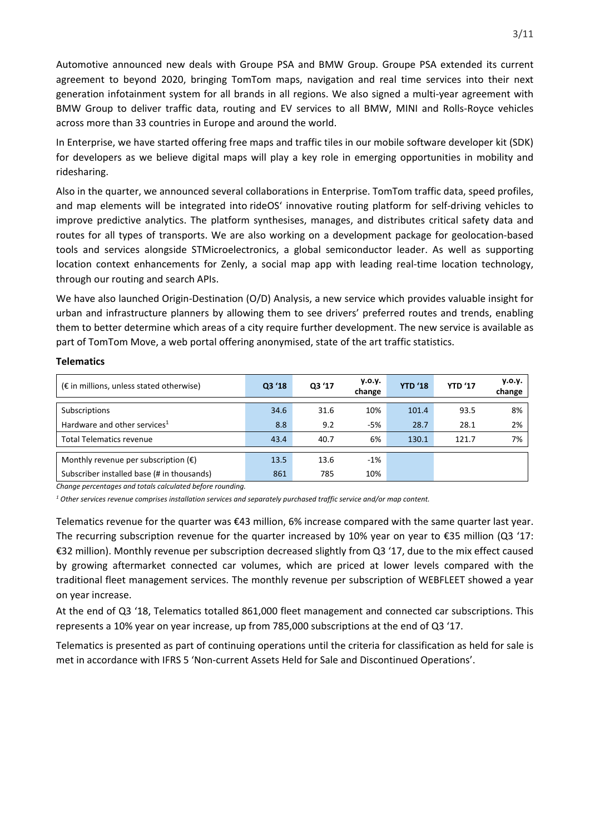Automotive announced new deals with Groupe PSA and BMW Group. Groupe PSA extended its current agreement to beyond 2020, bringing TomTom maps, navigation and real time services into their next generation infotainment system for all brands in all regions. We also signed a multi-year agreement with BMW Group to deliver traffic data, routing and EV services to all BMW, MINI and Rolls-Royce vehicles across more than 33 countries in Europe and around the world.

In Enterprise, we have started offering free maps and traffic tiles in our mobile software developer kit (SDK) for developers as we believe digital maps will play a key role in emerging opportunities in mobility and ridesharing.

Also in the quarter, we announced several collaborations in Enterprise. TomTom traffic data, speed profiles, and map elements will be integrated into [rideOS'](https://rideos.ai/) innovative routing platform for self-driving vehicles to improve predictive analytics. The platform synthesises, manages, and distributes critical safety data and routes for all types of transports. We are also working on a development package for geolocation-based tools and services alongside STMicroelectronics, a global semiconductor leader. As well as supporting location context enhancements for Zenly, a social map app with leading real-time location technology, through our routing and search APIs.

We have also launched Origin-Destination (O/D) Analysis, a new service which provides valuable insight for urban and infrastructure planners by allowing them to see drivers' preferred routes and trends, enabling them to better determine which areas of a city require further development. The new service is available as part of TomTom Move, a web portal offering anonymised, state of the art traffic statistics.

| $(\epsilon$ in millions, unless stated otherwise) | Q3 '18 | Q3 '17 | y.o.y.<br>change | <b>YTD '18</b> | <b>YTD '17</b> | y.o.y.<br>change |
|---------------------------------------------------|--------|--------|------------------|----------------|----------------|------------------|
| Subscriptions                                     | 34.6   | 31.6   | 10%              | 101.4          | 93.5           | 8%               |
| Hardware and other services <sup>1</sup>          | 8.8    | 9.2    | -5%              | 28.7           | 28.1           | 2%               |
| <b>Total Telematics revenue</b>                   | 43.4   | 40.7   | 6%               | 130.1          | 121.7          | 7%               |
| Monthly revenue per subscription $(\epsilon)$     | 13.5   | 13.6   | $-1%$            |                |                |                  |
| Subscriber installed base (# in thousands)        | 861    | 785    | 10%              |                |                |                  |

#### **Telematics**

*Change percentages and totals calculated before rounding.*

*<sup>1</sup> Other services revenue comprises installation services and separately purchased traffic service and/or map content.*

Telematics revenue for the quarter was €43 million, 6% increase compared with the same quarter last year. The recurring subscription revenue for the quarter increased by 10% year on year to  $\epsilon$ 35 million (Q3 '17: €32 million). Monthly revenue per subscription decreased slightly from Q3 '17, due to the mix effect caused by growing aftermarket connected car volumes, which are priced at lower levels compared with the traditional fleet management services. The monthly revenue per subscription of WEBFLEET showed a year on year increase.

At the end of Q3 '18, Telematics totalled 861,000 fleet management and connected car subscriptions. This represents a 10% year on year increase, up from 785,000 subscriptions at the end of Q3 '17.

Telematics is presented as part of continuing operations until the criteria for classification as held for sale is met in accordance with IFRS 5 'Non-current Assets Held for Sale and Discontinued Operations'.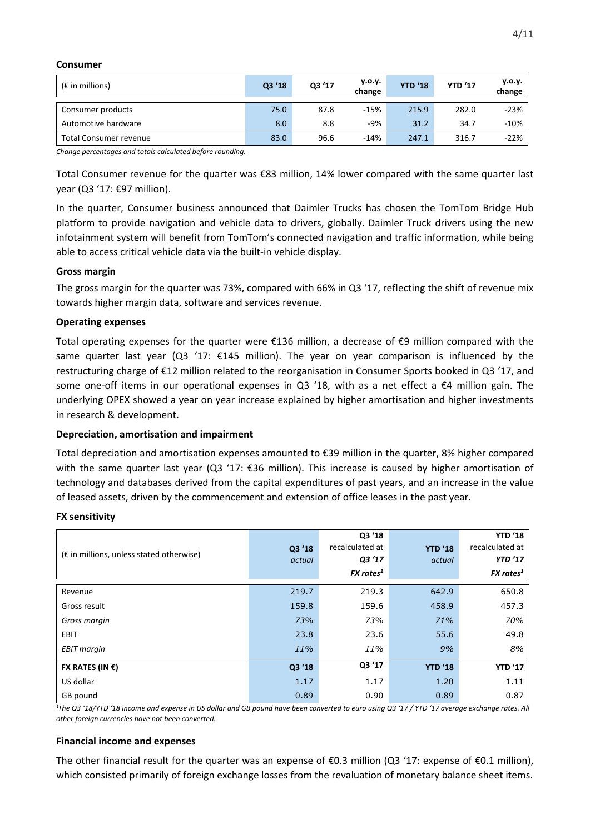#### **Consumer**

| $(\epsilon$ in millions) | Q3 '18 | Q3 '17 | y.o.y.<br>change | <b>YTD '18</b> | <b>YTD '17</b> | y.o.y.<br>change |
|--------------------------|--------|--------|------------------|----------------|----------------|------------------|
| Consumer products        | 75.0   | 87.8   | $-15%$           | 215.9          | 282.0          | $-23%$           |
| Automotive hardware      | 8.0    | 8.8    | $-9%$            | 31.2           | 34.7           | $-10%$           |
| Total Consumer revenue   | 83.0   | 96.6   | $-14%$           | 247.1          | 316.7          | $-22%$           |

*Change percentages and totals calculated before rounding.*

Total Consumer revenue for the quarter was €83 million, 14% lower compared with the same quarter last year (Q3 '17: €97 million).

In the quarter, Consumer business announced that Daimler Trucks has chosen the TomTom Bridge Hub platform to provide navigation and vehicle data to drivers, globally. Daimler Truck drivers using the new infotainment system will benefit from TomTom's connected navigation and traffic information, while being able to access critical vehicle data via the built-in vehicle display.

#### **Gross margin**

The gross margin for the quarter was 73%, compared with 66% in Q3 '17, reflecting the shift of revenue mix towards higher margin data, software and services revenue.

#### **Operating expenses**

Total operating expenses for the quarter were €136 million, a decrease of €9 million compared with the same quarter last year (Q3 '17: €145 million). The year on year comparison is influenced by the restructuring charge of €12 million related to the reorganisation in Consumer Sports booked in Q3 '17, and some one-off items in our operational expenses in Q3 '18, with as a net effect a  $\epsilon$ 4 million gain. The underlying OPEX showed a year on year increase explained by higher amortisation and higher investments in research & development.

### **Depreciation, amortisation and impairment**

Total depreciation and amortisation expenses amounted to €39 million in the quarter, 8% higher compared with the same quarter last year (Q3 '17:  $\epsilon$ 36 million). This increase is caused by higher amortisation of technology and databases derived from the capital expenditures of past years, and an increase in the value of leased assets, driven by the commencement and extension of office leases in the past year.

#### **FX sensitivity**

|                                                   |        | Q3 '18          |                | <b>YTD '18</b>  |
|---------------------------------------------------|--------|-----------------|----------------|-----------------|
|                                                   | Q3 '18 | recalculated at | <b>YTD '18</b> | recalculated at |
| $(\epsilon$ in millions, unless stated otherwise) | actual | Q3 '17          | actual         | <b>YTD '17</b>  |
|                                                   |        | $FX$ rates $^1$ |                | $FX$ rates $^1$ |
| Revenue                                           | 219.7  | 219.3           | 642.9          | 650.8           |
|                                                   |        |                 |                |                 |
| Gross result                                      | 159.8  | 159.6           | 458.9          | 457.3           |
| Gross margin                                      | 73%    | 73%             | 71%            | 70%             |
| EBIT                                              | 23.8   | 23.6            | 55.6           | 49.8            |
| <b>EBIT</b> margin                                | 11%    | 11%             | 9%             | 8%              |
| FX RATES (IN $\epsilon$ )                         | Q3 '18 | Q3 '17          | <b>YTD '18</b> | <b>YTD '17</b>  |
| US dollar                                         | 1.17   | 1.17            | 1.20           | 1.11            |
| GB pound                                          | 0.89   | 0.90            | 0.89           | 0.87            |

*¹The Q3 '18/YTD '18 income and expense in US dollar and GB pound have been converted to euro using Q3 '17 / YTD '17 average exchange rates. All other foreign currencies have not been converted.*

### **Financial income and expenses**

The other financial result for the quarter was an expense of  $\epsilon$ 0.3 million (Q3 '17: expense of  $\epsilon$ 0.1 million), which consisted primarily of foreign exchange losses from the revaluation of monetary balance sheet items.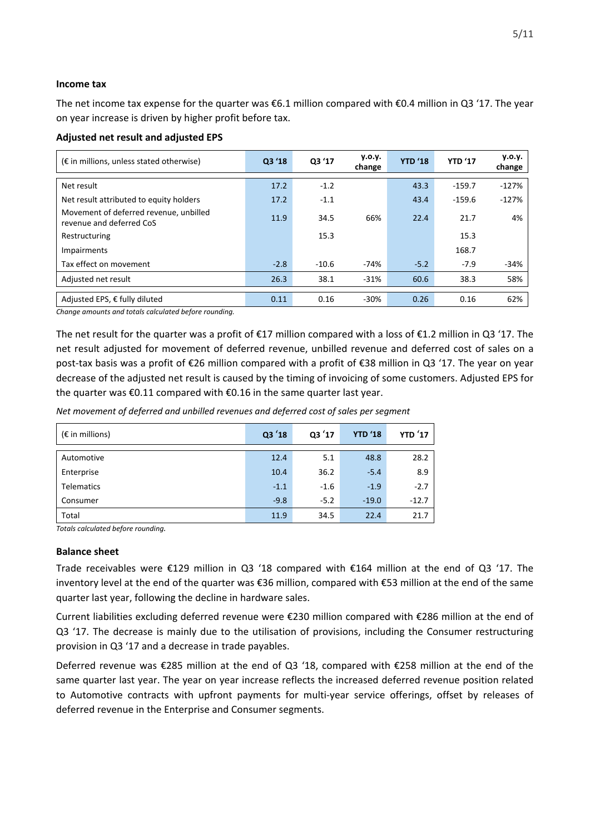#### **Income tax**

The net income tax expense for the quarter was €6.1 million compared with €0.4 million in Q3 '17. The year on year increase is driven by higher profit before tax.

#### **Adjusted net result and adjusted EPS**

| $(\epsilon$ in millions, unless stated otherwise)                  | Q3 '18 | Q3 '17  | y.o.y.<br>change | <b>YTD '18</b> | <b>YTD '17</b> | V.0.V.<br>change |
|--------------------------------------------------------------------|--------|---------|------------------|----------------|----------------|------------------|
| Net result                                                         | 17.2   | $-1.2$  |                  | 43.3           | $-159.7$       | $-127%$          |
| Net result attributed to equity holders                            | 17.2   | $-1.1$  |                  | 43.4           | $-159.6$       | $-127%$          |
| Movement of deferred revenue, unbilled<br>revenue and deferred CoS | 11.9   | 34.5    | 66%              | 22.4           | 21.7           | 4%               |
| Restructuring                                                      |        | 15.3    |                  |                | 15.3           |                  |
| Impairments                                                        |        |         |                  |                | 168.7          |                  |
| Tax effect on movement                                             | $-2.8$ | $-10.6$ | -74%             | $-5.2$         | $-7.9$         | $-34%$           |
| Adjusted net result                                                | 26.3   | 38.1    | $-31%$           | 60.6           | 38.3           | 58%              |
|                                                                    |        |         |                  |                |                |                  |
| Adjusted EPS, € fully diluted                                      | 0.11   | 0.16    | $-30%$           | 0.26           | 0.16           | 62%              |

*Change amounts and totals calculated before rounding.*

The net result for the quarter was a profit of €17 million compared with a loss of €1.2 million in Q3 '17. The net result adjusted for movement of deferred revenue, unbilled revenue and deferred cost of sales on a post-tax basis was a profit of €26 million compared with a profit of €38 million in Q3 '17. The year on year decrease of the adjusted net result is caused by the timing of invoicing of some customers. Adjusted EPS for the quarter was €0.11 compared with €0.16 in the same quarter last year.

*Net movement of deferred and unbilled revenues and deferred cost of sales per segment* 

| $(\epsilon$ in millions) | Q3'18  | Q3'17  | <b>YTD '18</b> | <b>YTD</b> '17 |
|--------------------------|--------|--------|----------------|----------------|
| Automotive               | 12.4   | 5.1    | 48.8           | 28.2           |
| Enterprise               | 10.4   | 36.2   | $-5.4$         | 8.9            |
| <b>Telematics</b>        | $-1.1$ | $-1.6$ | $-1.9$         | $-2.7$         |
| Consumer                 | $-9.8$ | $-5.2$ | $-19.0$        | $-12.7$        |
| Total                    | 11.9   | 34.5   | 22.4           | 21.7           |

*Totals calculated before rounding.*

#### **Balance sheet**

Trade receivables were €129 million in Q3 '18 compared with €164 million at the end of Q3 '17. The inventory level at the end of the quarter was €36 million, compared with €53 million at the end of the same quarter last year, following the decline in hardware sales.

Current liabilities excluding deferred revenue were €230 million compared with €286 million at the end of Q3 '17. The decrease is mainly due to the utilisation of provisions, including the Consumer restructuring provision in Q3 '17 and a decrease in trade payables.

Deferred revenue was €285 million at the end of Q3 '18, compared with €258 million at the end of the same quarter last year. The year on year increase reflects the increased deferred revenue position related to Automotive contracts with upfront payments for multi-year service offerings, offset by releases of deferred revenue in the Enterprise and Consumer segments.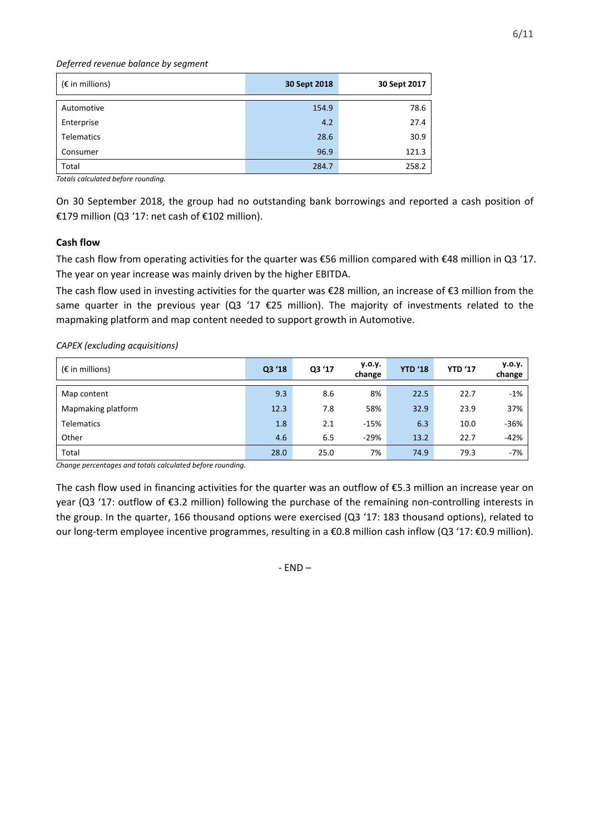#### *Deferred revenue balance by segment*

| $(\epsilon$ in millions) | 30 Sept 2018 | 30 Sept 2017 |
|--------------------------|--------------|--------------|
| Automotive               | 154.9        | 78.6         |
| Enterprise               | 4.2          | 27.4         |
| <b>Telematics</b>        | 28.6         | 30.9         |
| Consumer                 | 96.9         | 121.3        |
| Total                    | 284.7        | 258.2        |

*Totals calculated before rounding.*

On 30 September 2018, the group had no outstanding bank borrowings and reported a cash position of €179 million (Q3 '17: net cash of €102 million).

## **Cash flow**

The cash flow from operating activities for the quarter was €56 million compared with €48 million in Q3 '17. The year on year increase was mainly driven by the higher EBITDA.

The cash flow used in investing activities for the quarter was €28 million, an increase of €3 million from the same quarter in the previous year (Q3 '17  $E$ 25 million). The majority of investments related to the mapmaking platform and map content needed to support growth in Automotive.

*CAPEX (excluding acquisitions)*

| $(\epsilon$ in millions) | Q3 '18 | Q3 '17 | y.o.y.<br>change | <b>YTD '18</b> | <b>YTD '17</b> | y.o.y.<br>change |
|--------------------------|--------|--------|------------------|----------------|----------------|------------------|
| Map content              | 9.3    | 8.6    | 8%               | 22.5           | 22.7           | $-1%$            |
| Mapmaking platform       | 12.3   | 7.8    | 58%              | 32.9           | 23.9           | 37%              |
| <b>Telematics</b>        | 1.8    | 2.1    | $-15%$           | 6.3            | 10.0           | $-36%$           |
| Other                    | 4.6    | 6.5    | $-29%$           | 13.2           | 22.7           | $-42%$           |
| Total                    | 28.0   | 25.0   | 7%               | 74.9           | 79.3           | -7%              |

*Change percentages and totals calculated before rounding.*

The cash flow used in financing activities for the quarter was an outflow of €5.3 million an increase year on year (Q3 '17: outflow of €3.2 million) following the purchase of the remaining non-controlling interests in the group. In the quarter, 166 thousand options were exercised (Q3 '17: 183 thousand options), related to our long-term employee incentive programmes, resulting in a €0.8 million cash inflow (Q3 '17: €0.9 million).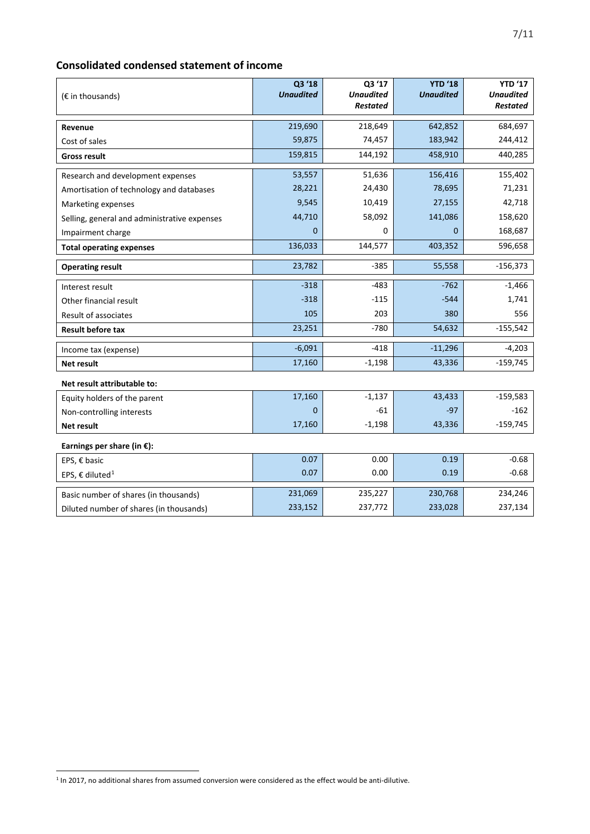## **Consolidated condensed statement of income**

| $(E \in \mathbb{R})$ in thousands)           | Q3 '18<br><b>Unaudited</b> | Q3 '17<br><b>Unaudited</b> | <b>YTD '18</b><br><b>Unaudited</b> | <b>YTD '17</b><br><b>Unaudited</b> |
|----------------------------------------------|----------------------------|----------------------------|------------------------------------|------------------------------------|
|                                              |                            | <b>Restated</b>            |                                    | <b>Restated</b>                    |
| Revenue                                      | 219,690                    | 218,649                    | 642,852                            | 684,697                            |
| Cost of sales                                | 59,875                     | 74,457                     | 183,942                            | 244,412                            |
| <b>Gross result</b>                          | 159,815                    | 144,192                    | 458,910                            | 440,285                            |
| Research and development expenses            | 53,557                     | 51,636                     | 156,416                            | 155,402                            |
| Amortisation of technology and databases     | 28,221                     | 24,430                     | 78,695                             | 71,231                             |
| Marketing expenses                           | 9,545                      | 10,419                     | 27,155                             | 42,718                             |
| Selling, general and administrative expenses | 44,710                     | 58,092                     | 141,086                            | 158,620                            |
| Impairment charge                            | $\mathbf{0}$               | 0                          | $\mathbf{0}$                       | 168,687                            |
| <b>Total operating expenses</b>              | 136,033                    | 144,577                    | 403,352                            | 596,658                            |
| <b>Operating result</b>                      | 23,782                     | $-385$                     | 55,558                             | $-156,373$                         |
| Interest result                              | $-318$                     | $-483$                     | $-762$                             | $-1,466$                           |
| Other financial result                       | $-318$                     | $-115$                     | $-544$                             | 1,741                              |
| Result of associates                         | 105                        | 203                        | 380                                | 556                                |
| <b>Result before tax</b>                     | 23,251                     | $-780$                     | 54,632                             | $-155,542$                         |
| Income tax (expense)                         | $-6,091$                   | $-418$                     | $-11,296$                          | $-4,203$                           |
| Net result                                   | 17,160                     | $-1,198$                   | 43,336                             | $-159,745$                         |
| Net result attributable to:                  |                            |                            |                                    |                                    |
| Equity holders of the parent                 | 17,160                     | $-1,137$                   | 43,433                             | $-159,583$                         |
| Non-controlling interests                    | $\mathbf{0}$               | $-61$                      | $-97$                              | $-162$                             |
| <b>Net result</b>                            | 17,160                     | $-1,198$                   | 43,336                             | $-159,745$                         |
| Earnings per share (in $E$ ):                |                            |                            |                                    |                                    |
| EPS, € basic                                 | 0.07                       | 0.00                       | 0.19                               | $-0.68$                            |
| EPS, € diluted <sup>1</sup>                  | 0.07                       | 0.00                       | 0.19                               | $-0.68$                            |
| Basic number of shares (in thousands)        | 231,069                    | 235,227                    | 230,768                            | 234,246                            |
| Diluted number of shares (in thousands)      | 233,152                    | 237,772                    | 233,028                            | 237,134                            |

<sup>7/11</sup>

-

<span id="page-6-0"></span><sup>&</sup>lt;sup>1</sup> In 2017, no additional shares from assumed conversion were considered as the effect would be anti-dilutive.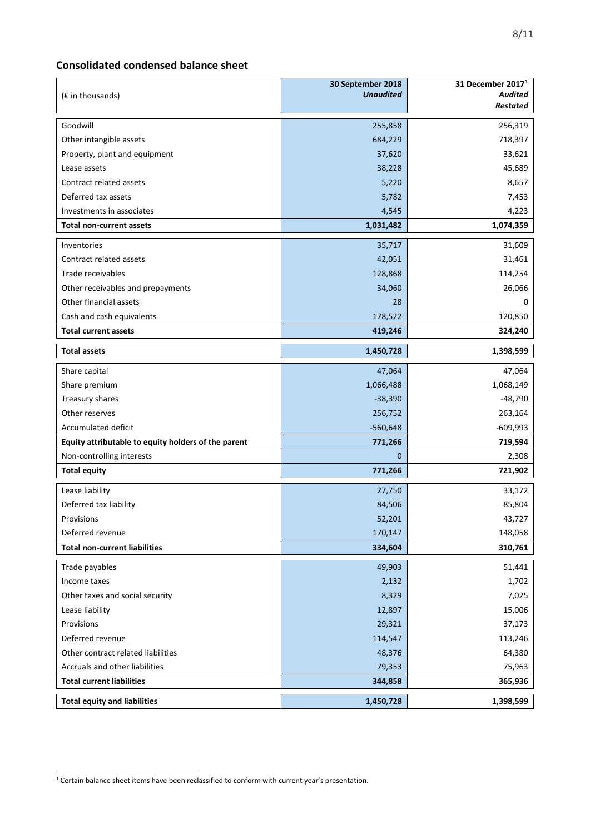## **Consolidated condensed balance sheet**

| $(E \in \mathbb{R})$ in thousands)                  | 30 September 2018<br><b>Unaudited</b> | 31 December 2017 <sup>1</sup><br><b>Audited</b><br><b>Restated</b> |
|-----------------------------------------------------|---------------------------------------|--------------------------------------------------------------------|
| Goodwill                                            | 255,858                               | 256,319                                                            |
| Other intangible assets                             | 684,229                               | 718,397                                                            |
| Property, plant and equipment                       | 37,620                                | 33,621                                                             |
| Lease assets                                        | 38,228                                | 45,689                                                             |
| Contract related assets                             | 5,220                                 | 8,657                                                              |
| Deferred tax assets                                 | 5,782                                 | 7,453                                                              |
| Investments in associates                           | 4,545                                 | 4,223                                                              |
| Total non-current assets                            | 1,031,482                             | 1,074,359                                                          |
| Inventories                                         | 35,717                                | 31,609                                                             |
| Contract related assets                             | 42,051                                | 31,461                                                             |
| Trade receivables                                   | 128,868                               | 114,254                                                            |
| Other receivables and prepayments                   | 34,060                                | 26,066                                                             |
| Other financial assets                              | 28                                    | 0                                                                  |
| Cash and cash equivalents                           | 178,522                               | 120,850                                                            |
| <b>Total current assets</b>                         | 419,246                               | 324,240                                                            |
| <b>Total assets</b>                                 | 1,450,728                             | 1,398,599                                                          |
| Share capital                                       | 47,064                                | 47,064                                                             |
| Share premium                                       | 1,066,488                             | 1,068,149                                                          |
| Treasury shares                                     | $-38,390$                             | $-48,790$                                                          |
| Other reserves                                      | 256,752                               | 263,164                                                            |
| Accumulated deficit                                 | $-560,648$                            | $-609,993$                                                         |
| Equity attributable to equity holders of the parent | 771,266                               | 719,594                                                            |
| Non-controlling interests                           | $\Omega$                              | 2,308                                                              |
| <b>Total equity</b>                                 | 771,266                               | 721,902                                                            |
| Lease liability                                     | 27,750                                | 33,172                                                             |
| Deferred tax liability                              | 84,506                                | 85,804                                                             |
| Provisions                                          | 52,201                                | 43,727                                                             |
| Deferred revenue                                    | 170,147                               | 148,058                                                            |
| <b>Total non-current liabilities</b>                | 334,604                               | 310,761                                                            |
| Trade payables                                      | 49,903                                | 51,441                                                             |
| Income taxes                                        | 2,132                                 | 1,702                                                              |
| Other taxes and social security                     | 8,329                                 | 7,025                                                              |
| Lease liability                                     | 12,897                                | 15,006                                                             |
| Provisions                                          | 29,321                                | 37,173                                                             |
| Deferred revenue                                    | 114,547                               | 113,246                                                            |
| Other contract related liabilities                  | 48,376                                | 64,380                                                             |
| Accruals and other liabilities                      | 79,353                                | 75,963                                                             |
| <b>Total current liabilities</b>                    | 344,858                               | 365,936                                                            |
| <b>Total equity and liabilities</b>                 | 1,450,728                             | 1,398,599                                                          |

<span id="page-7-0"></span><sup>-</sup> $^1$  Certain balance sheet items have been reclassified to conform with current year's presentation.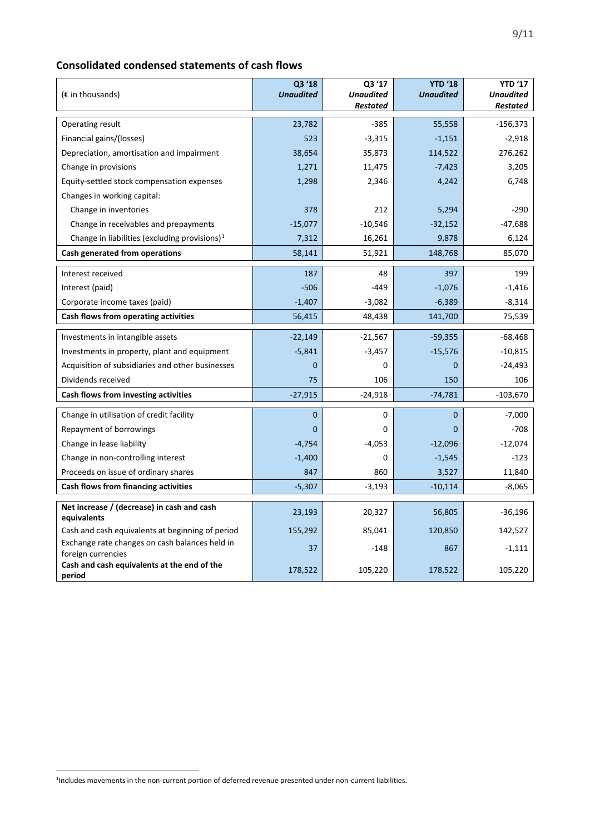## **Consolidated condensed statements of cash flows**

| $(E \in \mathbb{R})$ in thousands)                                   | Q3 '18<br><b>Unaudited</b> | Q3 '17<br><b>Unaudited</b><br><b>Restated</b> | <b>YTD '18</b><br><b>Unaudited</b> | <b>YTD '17</b><br><b>Unaudited</b><br><b>Restated</b> |
|----------------------------------------------------------------------|----------------------------|-----------------------------------------------|------------------------------------|-------------------------------------------------------|
|                                                                      |                            |                                               |                                    |                                                       |
| Operating result                                                     | 23,782                     | $-385$                                        | 55,558                             | $-156,373$                                            |
| Financial gains/(losses)                                             | 523                        | $-3,315$                                      | $-1,151$                           | $-2,918$                                              |
| Depreciation, amortisation and impairment                            | 38,654                     | 35,873                                        | 114,522                            | 276,262                                               |
| Change in provisions                                                 | 1,271                      | 11,475                                        | $-7,423$                           | 3,205                                                 |
| Equity-settled stock compensation expenses                           | 1,298                      | 2,346                                         | 4,242                              | 6,748                                                 |
| Changes in working capital:                                          |                            |                                               |                                    |                                                       |
| Change in inventories                                                | 378                        | 212                                           | 5,294                              | -290                                                  |
| Change in receivables and prepayments                                | $-15,077$                  | $-10,546$                                     | $-32,152$                          | $-47,688$                                             |
| Change in liabilities (excluding provisions) $1$                     | 7,312                      | 16,261                                        | 9,878                              | 6,124                                                 |
| Cash generated from operations                                       | 58,141                     | 51,921                                        | 148,768                            | 85,070                                                |
| Interest received                                                    | 187                        | 48                                            | 397                                | 199                                                   |
| Interest (paid)                                                      | $-506$                     | -449                                          | $-1,076$                           | $-1,416$                                              |
| Corporate income taxes (paid)                                        | $-1,407$                   | $-3,082$                                      | $-6,389$                           | $-8,314$                                              |
| Cash flows from operating activities                                 | 56,415                     | 48,438                                        | 141,700                            | 75,539                                                |
| Investments in intangible assets                                     | $-22,149$                  | $-21,567$                                     | $-59,355$                          | $-68,468$                                             |
| Investments in property, plant and equipment                         | $-5,841$                   | $-3,457$                                      | $-15,576$                          | $-10,815$                                             |
| Acquisition of subsidiaries and other businesses                     | 0                          | 0                                             | $\mathbf 0$                        | $-24,493$                                             |
| Dividends received                                                   | 75                         | 106                                           | 150                                | 106                                                   |
| Cash flows from investing activities                                 | $-27,915$                  | $-24,918$                                     | $-74,781$                          | -103,670                                              |
| Change in utilisation of credit facility                             | $\mathbf{0}$               | 0                                             | $\mathbf{0}$                       | $-7,000$                                              |
| Repayment of borrowings                                              | 0                          | 0                                             | $\mathbf{0}$                       | $-708$                                                |
| Change in lease liability                                            | $-4,754$                   | $-4,053$                                      | $-12,096$                          | $-12,074$                                             |
| Change in non-controlling interest                                   | $-1,400$                   | 0                                             | $-1,545$                           | $-123$                                                |
| Proceeds on issue of ordinary shares                                 | 847                        | 860                                           | 3,527                              | 11,840                                                |
| Cash flows from financing activities                                 | $-5,307$                   | $-3,193$                                      | $-10,114$                          | $-8,065$                                              |
| Net increase / (decrease) in cash and cash                           |                            |                                               |                                    |                                                       |
| equivalents                                                          | 23,193                     | 20,327                                        | 56,805                             | $-36,196$                                             |
| Cash and cash equivalents at beginning of period                     | 155,292                    | 85,041                                        | 120,850                            | 142,527                                               |
| Exchange rate changes on cash balances held in<br>foreign currencies | 37                         | $-148$                                        | 867                                | $-1,111$                                              |
| Cash and cash equivalents at the end of the<br>period                | 178,522                    | 105,220                                       | 178,522                            | 105,220                                               |

-

<span id="page-8-0"></span><sup>&</sup>lt;sup>1</sup>Includes movements in the non-current portion of deferred revenue presented under non-current liabilities.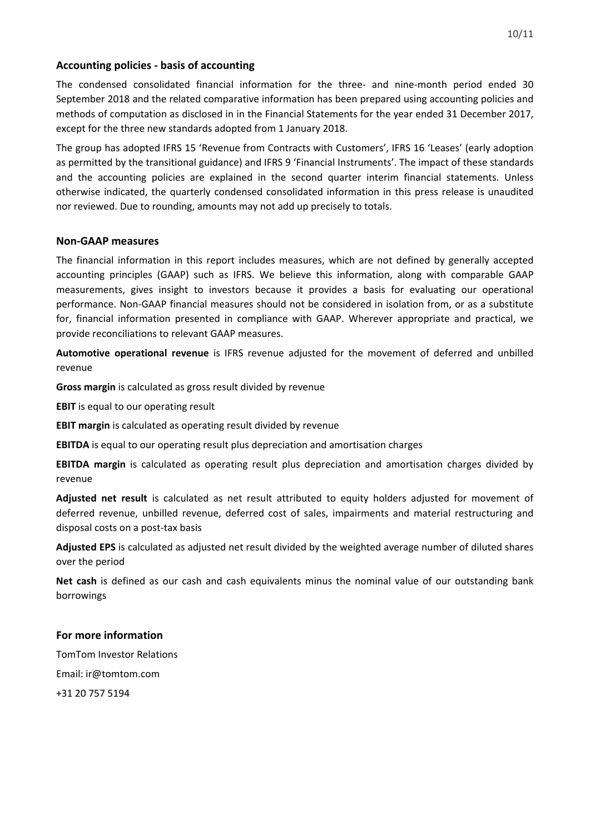## **Accounting policies - basis of accounting**

The condensed consolidated financial information for the three- and nine-month period ended 30 September 2018 and the related comparative information has been prepared using accounting policies and methods of computation as disclosed in in the Financial Statements for the year ended 31 December 2017, except for the three new standards adopted from 1 January 2018.

The group has adopted IFRS 15 'Revenue from Contracts with Customers', IFRS 16 'Leases' (early adoption as permitted by the transitional guidance) and IFRS 9 'Financial Instruments'. The impact of these standards and the accounting policies are explained in the second quarter interim financial statements. Unless otherwise indicated, the quarterly condensed consolidated information in this press release is unaudited nor reviewed. Due to rounding, amounts may not add up precisely to totals.

## **Non-GAAP measures**

The financial information in this report includes measures, which are not defined by generally accepted accounting principles (GAAP) such as IFRS. We believe this information, along with comparable GAAP measurements, gives insight to investors because it provides a basis for evaluating our operational performance. Non-GAAP financial measures should not be considered in isolation from, or as a substitute for, financial information presented in compliance with GAAP. Wherever appropriate and practical, we provide reconciliations to relevant GAAP measures.

**Automotive operational revenue** is IFRS revenue adjusted for the movement of deferred and unbilled revenue

**Gross margin** is calculated as gross result divided by revenue

**EBIT** is equal to our operating result

**EBIT margin** is calculated as operating result divided by revenue

**EBITDA** is equal to our operating result plus depreciation and amortisation charges

**EBITDA margin** is calculated as operating result plus depreciation and amortisation charges divided by revenue

**Adjusted net result** is calculated as net result attributed to equity holders adjusted for movement of deferred revenue, unbilled revenue, deferred cost of sales, impairments and material restructuring and disposal costs on a post-tax basis

**Adjusted EPS** is calculated as adjusted net result divided by the weighted average number of diluted shares over the period

**Net cash** is defined as our cash and cash equivalents minus the nominal value of our outstanding bank borrowings

### **For more information**

TomTom Investor Relations Email: ir@tomtom.com +31 20 757 5194